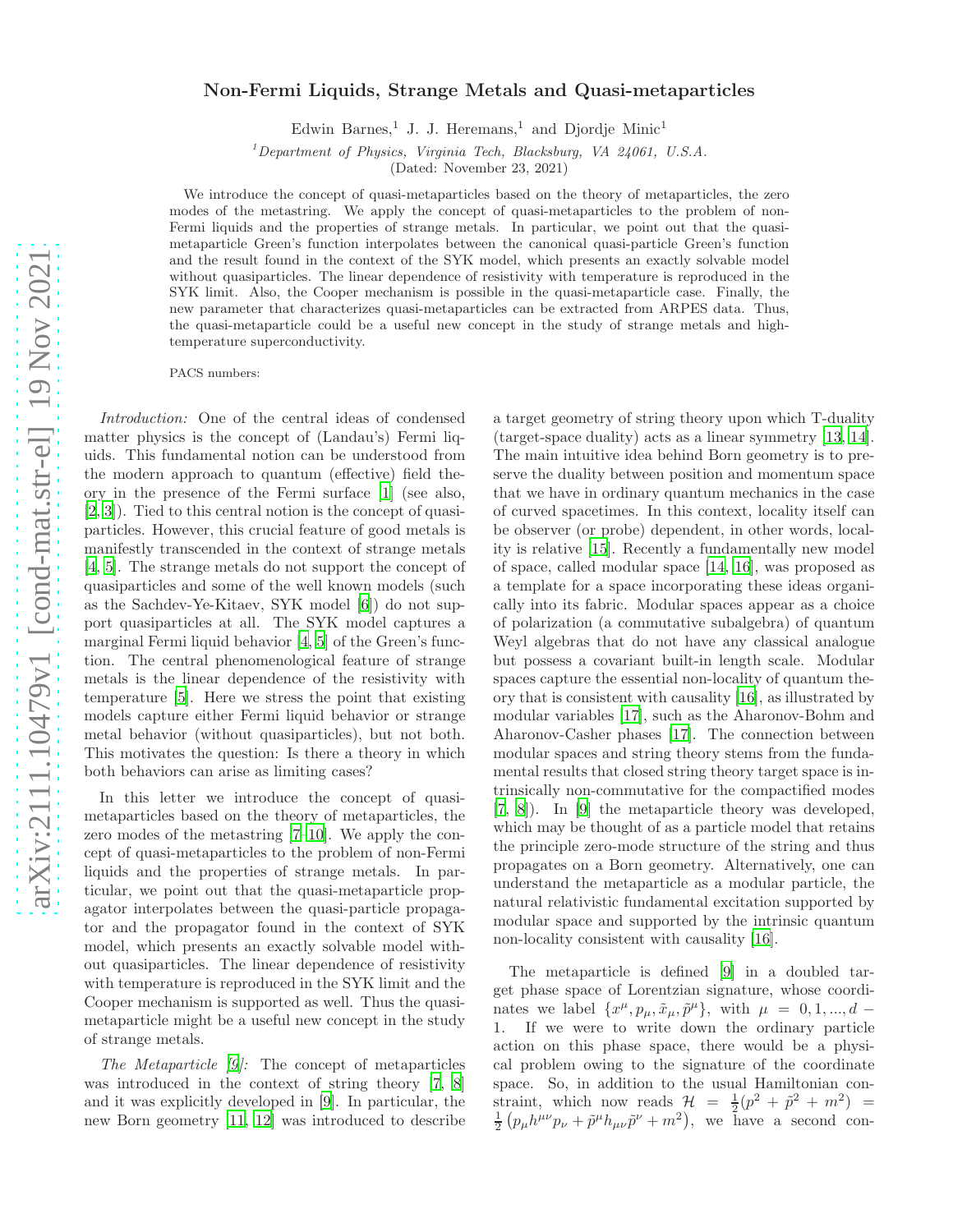## Non-Fermi Liquids, Strange Metals and Quasi-metaparticles

Edwin Barnes,<sup>1</sup> J. J. Heremans,<sup>1</sup> and Djordje Minic<sup>1</sup>

<sup>1</sup>Department of Physics, Virginia Tech, Blacksburg, VA  $24061$ , U.S.A.

(Dated: November 23, 2021)

We introduce the concept of quasi-metaparticles based on the theory of metaparticles, the zero modes of the metastring. We apply the concept of quasi-metaparticles to the problem of non-Fermi liquids and the properties of strange metals. In particular, we point out that the quasimetaparticle Green's function interpolates between the canonical quasi-particle Green's function and the result found in the context of the SYK model, which presents an exactly solvable model without quasiparticles. The linear dependence of resistivity with temperature is reproduced in the SYK limit. Also, the Cooper mechanism is possible in the quasi-metaparticle case. Finally, the new parameter that characterizes quasi-metaparticles can be extracted from ARPES data. Thus, the quasi-metaparticle could be a useful new concept in the study of strange metals and hightemperature superconductivity.

PACS numbers:

Introduction: One of the central ideas of condensed matter physics is the concept of (Landau's) Fermi liquids. This fundamental notion can be understood from the modern approach to quantum (effective) field theory in the presence of the Fermi surface [\[1\]](#page-4-0) (see also, [\[2,](#page-4-1) [3](#page-4-2)]). Tied to this central notion is the concept of quasiparticles. However, this crucial feature of good metals is manifestly transcended in the context of strange metals [\[4,](#page-4-3) [5\]](#page-4-4). The strange metals do not support the concept of quasiparticles and some of the well known models (such as the Sachdev-Ye-Kitaev, SYK model [\[6](#page-4-5)]) do not support quasiparticles at all. The SYK model captures a marginal Fermi liquid behavior [\[4](#page-4-3), [5\]](#page-4-4) of the Green's function. The central phenomenological feature of strange metals is the linear dependence of the resistivity with temperature [\[5](#page-4-4)]. Here we stress the point that existing models capture either Fermi liquid behavior or strange metal behavior (without quasiparticles), but not both. This motivates the question: Is there a theory in which both behaviors can arise as limiting cases?

In this letter we introduce the concept of quasimetaparticles based on the theory of metaparticles, the zero modes of the metastring [\[7](#page-4-6)[–10\]](#page-4-7). We apply the concept of quasi-metaparticles to the problem of non-Fermi liquids and the properties of strange metals. In particular, we point out that the quasi-metaparticle propagator interpolates between the quasi-particle propagator and the propagator found in the context of SYK model, which presents an exactly solvable model without quasiparticles. The linear dependence of resistivity with temperature is reproduced in the SYK limit and the Cooper mechanism is supported as well. Thus the quasimetaparticle might be a useful new concept in the study of strange metals.

The Metaparticle [\[9](#page-4-8)]: The concept of metaparticles was introduced in the context of string theory [\[7](#page-4-6), [8](#page-4-9)] and it was explicitly developed in [\[9\]](#page-4-8). In particular, the new Born geometry [\[11](#page-4-10), [12](#page-4-11)] was introduced to describe a target geometry of string theory upon which T-duality (target-space duality) acts as a linear symmetry [\[13,](#page-4-12) [14\]](#page-4-13). The main intuitive idea behind Born geometry is to preserve the duality between position and momentum space that we have in ordinary quantum mechanics in the case of curved spacetimes. In this context, locality itself can be observer (or probe) dependent, in other words, locality is relative [\[15](#page-4-14)]. Recently a fundamentally new model of space, called modular space [\[14,](#page-4-13) [16](#page-4-15)], was proposed as a template for a space incorporating these ideas organically into its fabric. Modular spaces appear as a choice of polarization (a commutative subalgebra) of quantum Weyl algebras that do not have any classical analogue but possess a covariant built-in length scale. Modular spaces capture the essential non-locality of quantum theory that is consistent with causality [\[16\]](#page-4-15), as illustrated by modular variables [\[17\]](#page-4-16), such as the Aharonov-Bohm and Aharonov-Casher phases [\[17](#page-4-16)]. The connection between modular spaces and string theory stems from the fundamental results that closed string theory target space is intrinsically non-commutative for the compactified modes [\[7,](#page-4-6) [8](#page-4-9)]). In [\[9\]](#page-4-8) the metaparticle theory was developed, which may be thought of as a particle model that retains the principle zero-mode structure of the string and thus propagates on a Born geometry. Alternatively, one can understand the metaparticle as a modular particle, the natural relativistic fundamental excitation supported by modular space and supported by the intrinsic quantum non-locality consistent with causality [\[16\]](#page-4-15).

The metaparticle is defined [\[9\]](#page-4-8) in a doubled target phase space of Lorentzian signature, whose coordinates we label  $\{x^{\mu}, p_{\mu}, \tilde{x}_{\mu}, \tilde{p}^{\mu}\},$  with  $\mu = 0, 1, ..., d$ 1. If we were to write down the ordinary particle action on this phase space, there would be a physical problem owing to the signature of the coordinate space. So, in addition to the usual Hamiltonian constraint, which now reads  $\mathcal{H} = \frac{1}{2}(p^2 + \tilde{p}^2 + m^2) =$  $\frac{1}{2} \left( p_{\mu} h^{\mu \nu} p_{\nu} + \tilde{p}^{\mu} h_{\mu \nu} \tilde{p}^{\nu} + m^2 \right)$ , we have a second con-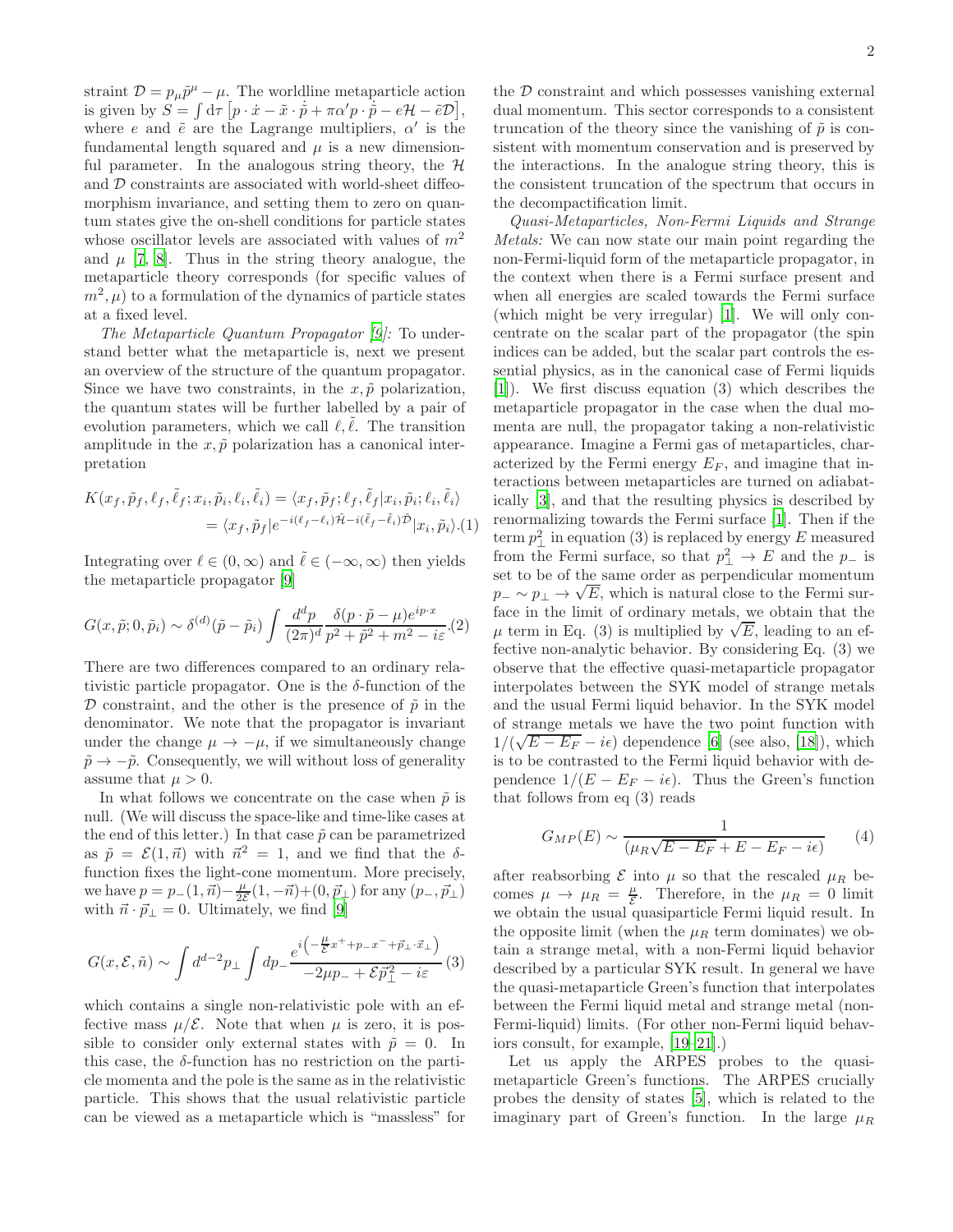straint  $\mathcal{D} = p_{\mu}\tilde{p}^{\mu} - \mu$ . The worldline metaparticle action is given by  $S = \int d\tau \left[ p \cdot \dot{x} - \tilde{x} \cdot \dot{p} + \pi \alpha' p \cdot \dot{p} - e\mathcal{H} - \tilde{e}\mathcal{D} \right],$ where e and  $\tilde{e}$  are the Lagrange multipliers,  $\alpha'$  is the fundamental length squared and  $\mu$  is a new dimensionful parameter. In the analogous string theory, the  $H$ and D constraints are associated with world-sheet diffeomorphism invariance, and setting them to zero on quantum states give the on-shell conditions for particle states whose oscillator levels are associated with values of  $m<sup>2</sup>$ and  $\mu$  [\[7,](#page-4-6) [8](#page-4-9)]. Thus in the string theory analogue, the metaparticle theory corresponds (for specific values of  $(m^2, \mu)$  to a formulation of the dynamics of particle states at a fixed level.

The Metaparticle Quantum Propagator [\[9](#page-4-8)]: To understand better what the metaparticle is, next we present an overview of the structure of the quantum propagator. Since we have two constraints, in the  $x, \tilde{p}$  polarization, the quantum states will be further labelled by a pair of evolution parameters, which we call  $\ell, \ell$ . The transition amplitude in the  $x, \tilde{p}$  polarization has a canonical interpretation

$$
K(x_f, \tilde{p}_f, \ell_f, \tilde{\ell}_f; x_i, \tilde{p}_i, \ell_i, \tilde{\ell}_i) = \langle x_f, \tilde{p}_f; \ell_f, \tilde{\ell}_f | x_i, \tilde{p}_i; \ell_i, \tilde{\ell}_i \rangle
$$
  
=  $\langle x_f, \tilde{p}_f | e^{-i(\ell_f - \ell_i)\hat{\mathcal{H}} - i(\tilde{\ell}_f - \tilde{\ell}_i)\hat{\mathcal{D}}}| x_i, \tilde{p}_i \rangle . (1)$ 

Integrating over  $\ell \in (0, \infty)$  and  $\tilde{\ell} \in (-\infty, \infty)$  then yields the metaparticle propagator [\[9\]](#page-4-8)

$$
G(x,\tilde{p};0,\tilde{p}_i) \sim \delta^{(d)}(\tilde{p}-\tilde{p}_i) \int \frac{d^d p}{(2\pi)^d} \frac{\delta(p \cdot \tilde{p}-\mu)e^{ip \cdot x}}{p^2+\tilde{p}^2+m^2-i\varepsilon}.
$$

There are two differences compared to an ordinary relativistic particle propagator. One is the  $\delta$ -function of the D constraint, and the other is the presence of  $\tilde{p}$  in the denominator. We note that the propagator is invariant under the change  $\mu \to -\mu$ , if we simultaneously change  $\tilde{p} \rightarrow -\tilde{p}$ . Consequently, we will without loss of generality assume that  $\mu > 0$ .

In what follows we concentrate on the case when  $\tilde{p}$  is null. (We will discuss the space-like and time-like cases at the end of this letter.) In that case  $\tilde{p}$  can be parametrized as  $\tilde{p} = \mathcal{E}(1, \vec{n})$  with  $\vec{n}^2 = 1$ , and we find that the  $\delta$ function fixes the light-cone momentum. More precisely, we have  $p = p_-(1, \vec{n}) - \frac{\mu}{2\varepsilon}(1, -\vec{n}) + (0, \vec{p}_\perp)$  for any  $(p_-, \vec{p}_\perp)$ with  $\vec{n} \cdot \vec{p}_{\perp} = 0$ . Ultimately, we find [\[9](#page-4-8)]

$$
G(x,\mathcal{E},\tilde{n}) \sim \int d^{d-2}p_{\perp} \int dp_{-} \frac{e^{i\left(-\frac{\mu}{\mathcal{E}}x^{+} + p_{-}x^{-} + \vec{p}_{\perp} \cdot \vec{x}_{\perp}\right)}}{-2\mu p_{-} + \mathcal{E}\vec{p}_{\perp}^{2} - i\varepsilon} (3)
$$

which contains a single non-relativistic pole with an effective mass  $\mu/\mathcal{E}$ . Note that when  $\mu$  is zero, it is possible to consider only external states with  $\tilde{p} = 0$ . In this case, the  $\delta$ -function has no restriction on the particle momenta and the pole is the same as in the relativistic particle. This shows that the usual relativistic particle can be viewed as a metaparticle which is "massless" for

the  $D$  constraint and which possesses vanishing external dual momentum. This sector corresponds to a consistent truncation of the theory since the vanishing of  $\tilde{p}$  is consistent with momentum conservation and is preserved by the interactions. In the analogue string theory, this is the consistent truncation of the spectrum that occurs in the decompactification limit.

Quasi-Metaparticles, Non-Fermi Liquids and Strange Metals: We can now state our main point regarding the non-Fermi-liquid form of the metaparticle propagator, in the context when there is a Fermi surface present and when all energies are scaled towards the Fermi surface (which might be very irregular) [\[1](#page-4-0)]. We will only concentrate on the scalar part of the propagator (the spin indices can be added, but the scalar part controls the essential physics, as in the canonical case of Fermi liquids [\[1\]](#page-4-0)). We first discuss equation (3) which describes the metaparticle propagator in the case when the dual momenta are null, the propagator taking a non-relativistic appearance. Imagine a Fermi gas of metaparticles, characterized by the Fermi energy  $E_F$ , and imagine that interactions between metaparticles are turned on adiabatically [\[3](#page-4-2)], and that the resulting physics is described by renormalizing towards the Fermi surface [\[1](#page-4-0)]. Then if the term  $p_{\perp}^2$  in equation (3) is replaced by energy E measured from the Fermi surface, so that  $p_{\perp}^2 \to E$  and the  $p_{\perp}$  is set to be of the same order as perpendicular momentum  $p_-\sim p_\perp \rightarrow \sqrt{E}$ , which is natural close to the Fermi surface in the limit of ordinary metals, we obtain that the  $\mu$  term in Eq. (3) is multiplied by  $\sqrt{E}$ , leading to an effective non-analytic behavior. By considering Eq. (3) we observe that the effective quasi-metaparticle propagator interpolates between the SYK model of strange metals and the usual Fermi liquid behavior. In the SYK model of strange metals we have the two point function with  $1/(\sqrt{E-E_F}-i\epsilon)$  dependence [\[6\]](#page-4-5) (see also, [\[18\]](#page-4-17)), which is to be contrasted to the Fermi liquid behavior with dependence  $1/(E - E_F - i\epsilon)$ . Thus the Green's function that follows from eq (3) reads

$$
G_{MP}(E) \sim \frac{1}{(\mu_R \sqrt{E - E_F} + E - E_F - i\epsilon)}\tag{4}
$$

after reabsorbing  $\mathcal E$  into  $\mu$  so that the rescaled  $\mu_R$  becomes  $\mu \to \mu_R = \frac{\mu}{\mathcal{E}}$ . Therefore, in the  $\mu_R = 0$  limit we obtain the usual quasiparticle Fermi liquid result. In the opposite limit (when the  $\mu_R$  term dominates) we obtain a strange metal, with a non-Fermi liquid behavior described by a particular SYK result. In general we have the quasi-metaparticle Green's function that interpolates between the Fermi liquid metal and strange metal (non-Fermi-liquid) limits. (For other non-Fermi liquid behaviors consult, for example, [\[19](#page-4-18)[–21\]](#page-4-19).)

Let us apply the ARPES probes to the quasimetaparticle Green's functions. The ARPES crucially probes the density of states [\[5\]](#page-4-4), which is related to the imaginary part of Green's function. In the large  $\mu_B$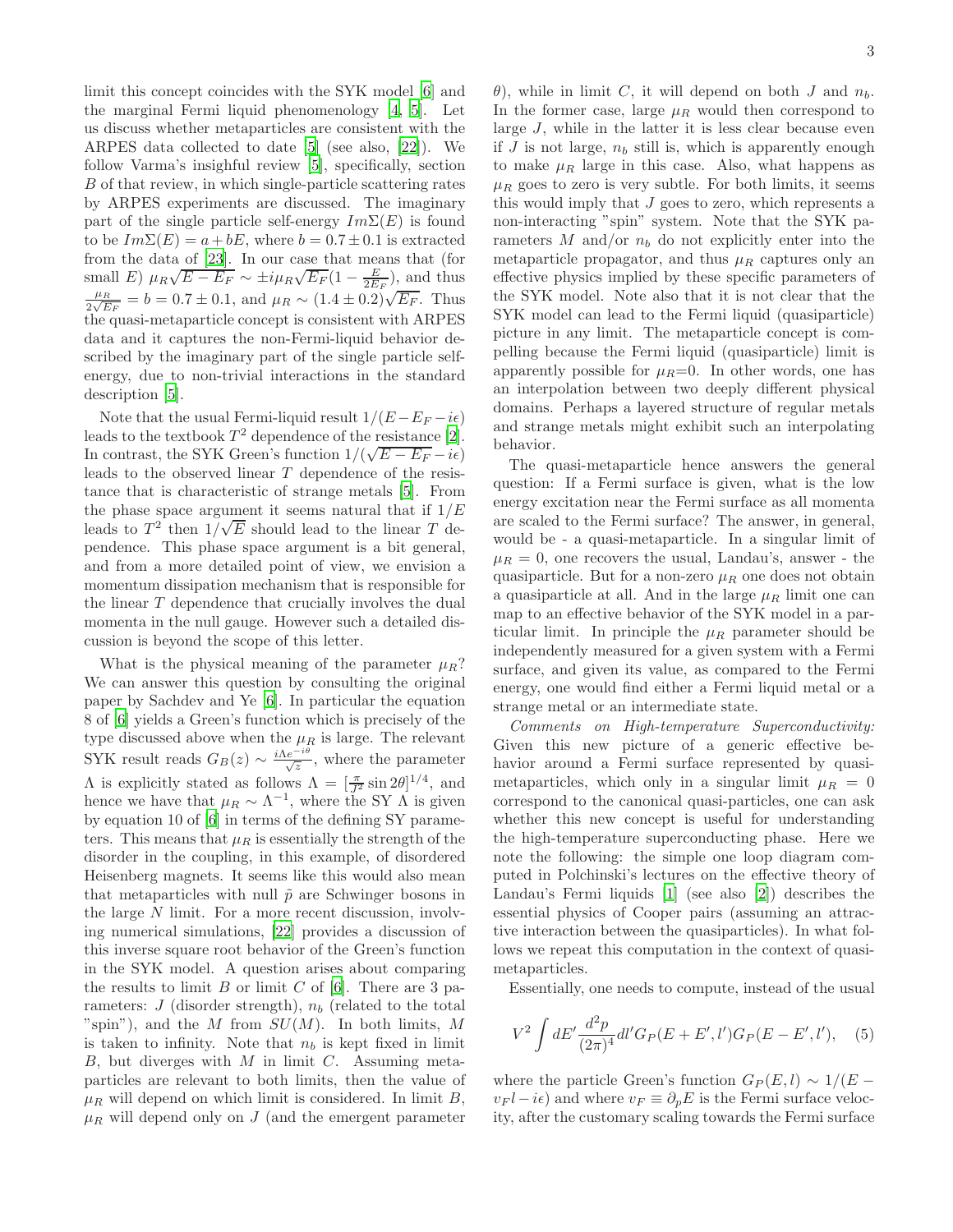limit this concept coincides with the SYK model [\[6\]](#page-4-5) and the marginal Fermi liquid phenomenology [\[4](#page-4-3), [5](#page-4-4)]. Let us discuss whether metaparticles are consistent with the ARPES data collected to date [\[5\]](#page-4-4) (see also, [\[22\]](#page-4-20)). We follow Varma's insighful review [\[5](#page-4-4)], specifically, section B of that review, in which single-particle scattering rates by ARPES experiments are discussed. The imaginary part of the single particle self-energy  $Im\Sigma(E)$  is found to be  $Im\Sigma(E) = a + bE$ , where  $b = 0.7 \pm 0.1$  is extracted from the data of [\[23\]](#page-4-21). In our case that means that (for small E)  $\mu_R \sqrt{E - E_F} \sim \pm i \mu_R \sqrt{E_F} (1 - \frac{E}{2E_F})$ , and thus  $\mu_R$  $\frac{\mu_R}{2\sqrt{E_F}} = b = 0.7 \pm 0.1$ , and  $\mu_R \sim (1.4 \pm 0.2) \sqrt{E_F}$ . Thus the quasi-metaparticle concept is consistent with ARPES data and it captures the non-Fermi-liquid behavior described by the imaginary part of the single particle selfenergy, due to non-trivial interactions in the standard description [\[5\]](#page-4-4).

Note that the usual Fermi-liquid result  $1/(E-E_F - i\epsilon)$ leads to the textbook  $T^2$  dependence of the resistance [\[2\]](#page-4-1). In contrast, the SYK Green's function  $1/(\sqrt{E-E_F}-i\epsilon)$ leads to the observed linear T dependence of the resistance that is characteristic of strange metals [\[5](#page-4-4)]. From the phase space argument it seems natural that if  $1/E$ leads to  $T^2$  then  $1/\sqrt{E}$  should lead to the linear T dependence. This phase space argument is a bit general, and from a more detailed point of view, we envision a momentum dissipation mechanism that is responsible for the linear T dependence that crucially involves the dual momenta in the null gauge. However such a detailed discussion is beyond the scope of this letter.

What is the physical meaning of the parameter  $\mu_R$ ? We can answer this question by consulting the original paper by Sachdev and Ye [\[6](#page-4-5)]. In particular the equation 8 of [\[6\]](#page-4-5) yields a Green's function which is precisely of the type discussed above when the  $\mu_R$  is large. The relevant SYK result reads  $G_B(z) \sim \frac{i\Lambda e^{-i\theta}}{\sqrt{z}}$ , where the parameter  $Λ$  is explicitly stated as follows  $Λ = [\frac{π}{J^2} \sin 2θ]^{1/4}$ , and hence we have that  $\mu_R \sim \Lambda^{-1}$ , where the SY  $\Lambda$  is given by equation 10 of [\[6\]](#page-4-5) in terms of the defining SY parameters. This means that  $\mu_R$  is essentially the strength of the disorder in the coupling, in this example, of disordered Heisenberg magnets. It seems like this would also mean that metaparticles with null  $\tilde{p}$  are Schwinger bosons in the large N limit. For a more recent discussion, involving numerical simulations, [\[22](#page-4-20)] provides a discussion of this inverse square root behavior of the Green's function in the SYK model. A question arises about comparing the results to limit  $B$  or limit  $C$  of [\[6\]](#page-4-5). There are 3 parameters:  $J$  (disorder strength),  $n_b$  (related to the total "spin"), and the M from  $SU(M)$ . In both limits, M is taken to infinity. Note that  $n_b$  is kept fixed in limit  $B$ , but diverges with  $M$  in limit  $C$ . Assuming metaparticles are relevant to both limits, then the value of  $\mu_R$  will depend on which limit is considered. In limit B,  $\mu_R$  will depend only on J (and the emergent parameter

 $\theta$ ), while in limit C, it will depend on both J and  $n_b$ . In the former case, large  $\mu_R$  would then correspond to large J, while in the latter it is less clear because even if  $J$  is not large,  $n_b$  still is, which is apparently enough to make  $\mu_R$  large in this case. Also, what happens as  $\mu_R$  goes to zero is very subtle. For both limits, it seems this would imply that  $J$  goes to zero, which represents a non-interacting "spin" system. Note that the SYK parameters M and/or  $n_b$  do not explicitly enter into the metaparticle propagator, and thus  $\mu_R$  captures only an effective physics implied by these specific parameters of the SYK model. Note also that it is not clear that the SYK model can lead to the Fermi liquid (quasiparticle) picture in any limit. The metaparticle concept is compelling because the Fermi liquid (quasiparticle) limit is apparently possible for  $\mu_R=0$ . In other words, one has an interpolation between two deeply different physical domains. Perhaps a layered structure of regular metals and strange metals might exhibit such an interpolating behavior.

The quasi-metaparticle hence answers the general question: If a Fermi surface is given, what is the low energy excitation near the Fermi surface as all momenta are scaled to the Fermi surface? The answer, in general, would be - a quasi-metaparticle. In a singular limit of  $\mu_R = 0$ , one recovers the usual, Landau's, answer - the quasiparticle. But for a non-zero  $\mu_R$  one does not obtain a quasiparticle at all. And in the large  $\mu_R$  limit one can map to an effective behavior of the SYK model in a particular limit. In principle the  $\mu_R$  parameter should be independently measured for a given system with a Fermi surface, and given its value, as compared to the Fermi energy, one would find either a Fermi liquid metal or a strange metal or an intermediate state.

Comments on High-temperature Superconductivity: Given this new picture of a generic effective behavior around a Fermi surface represented by quasimetaparticles, which only in a singular limit  $\mu_R = 0$ correspond to the canonical quasi-particles, one can ask whether this new concept is useful for understanding the high-temperature superconducting phase. Here we note the following: the simple one loop diagram computed in Polchinski's lectures on the effective theory of Landau's Fermi liquids [\[1](#page-4-0)] (see also [\[2](#page-4-1)]) describes the essential physics of Cooper pairs (assuming an attractive interaction between the quasiparticles). In what follows we repeat this computation in the context of quasimetaparticles.

Essentially, one needs to compute, instead of the usual

$$
V^2 \int dE' \frac{d^2 p}{(2\pi)^4} dl' G_P(E + E', l') G_P(E - E', l'), \quad (5)
$$

where the particle Green's function  $G_P(E, l) \sim 1/(E$  $v_F l - i\epsilon$ ) and where  $v_F \equiv \partial_\nu E$  is the Fermi surface velocity, after the customary scaling towards the Fermi surface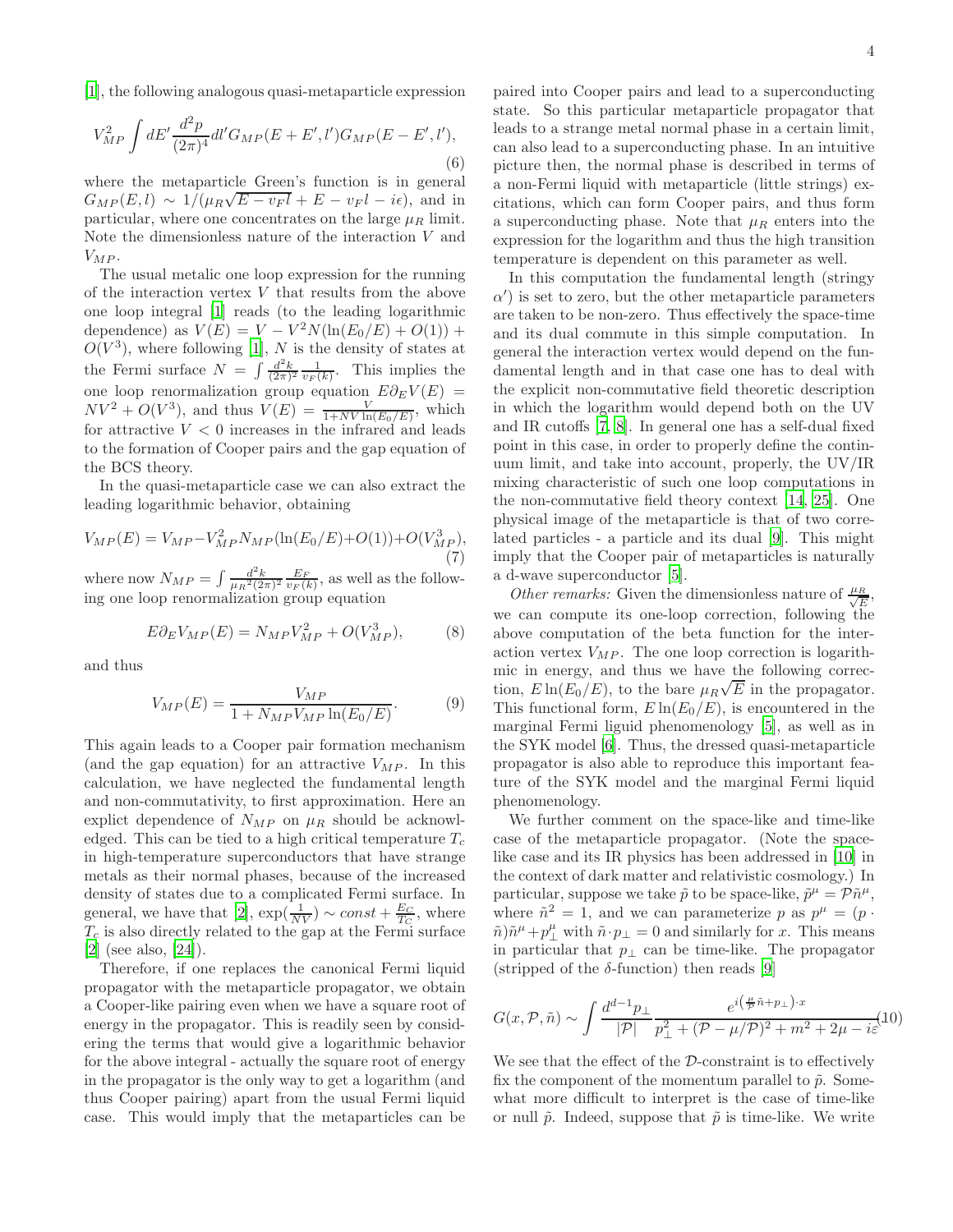[\[1\]](#page-4-0), the following analogous quasi-metaparticle expression

$$
V_{MP}^{2} \int dE' \frac{d^{2}p}{(2\pi)^{4}} dl' G_{MP}(E + E', l') G_{MP}(E - E', l'),
$$
\n(6)

where the metaparticle Green's function is in general  $G_{MP}(E, l) \sim 1/(\mu_R \sqrt{E - v_F l} + E - v_F l - i\epsilon)$ , and in particular, where one concentrates on the large  $\mu_R$  limit. Note the dimensionless nature of the interaction V and  $V_{MP}$ .

The usual metalic one loop expression for the running of the interaction vertex V that results from the above one loop integral [\[1\]](#page-4-0) reads (to the leading logarithmic dependence) as  $V(E) = V - V^2 N(\ln(E_0/E) + O(1)) +$  $O(V^3)$ , where following [\[1](#page-4-0)], N is the density of states at the Fermi surface  $N = \int \frac{d^2k}{(2\pi)^2} \frac{1}{v_F(k)}$ . This implies the one loop renormalization group equation  $E\partial_E V(E)$  =  $NV^2 + O(V^3)$ , and thus  $V(E) = \frac{V}{1 + NV \ln(E_0/E)}$ , which for attractive  $V < 0$  increases in the infrared and leads to the formation of Cooper pairs and the gap equation of the BCS theory.

In the quasi-metaparticle case we can also extract the leading logarithmic behavior, obtaining

$$
V_{MP}(E) = V_{MP} - V_{MP}^2 N_{MP}(\ln(E_0/E) + O(1)) + O(V_{MP}^3),
$$
\n(7)

where now  $N_{MP} = \int \frac{d^2k}{\mu_R^2 (2\pi)^2} \frac{E_F}{v_F(k)}$ , as well as the following one loop renormalization group equation

$$
E\partial_E V_{MP}(E) = N_{MP} V_{MP}^2 + O(V_{MP}^3),\tag{8}
$$

and thus

$$
V_{MP}(E) = \frac{V_{MP}}{1 + N_{MP} V_{MP} \ln(E_0/E)}.
$$
 (9)

This again leads to a Cooper pair formation mechanism (and the gap equation) for an attractive  $V_{MP}$ . In this calculation, we have neglected the fundamental length and non-commutativity, to first approximation. Here an explict dependence of  $N_{MP}$  on  $\mu_R$  should be acknowledged. This can be tied to a high critical temperature  $T_c$ in high-temperature superconductors that have strange metals as their normal phases, because of the increased density of states due to a complicated Fermi surface. In general, we have that [\[2\]](#page-4-1),  $\exp(\frac{1}{NV}) \sim const + \frac{E_C}{T_C}$ , where  $T_c$  is also directly related to the gap at the Fermi surface [\[2\]](#page-4-1) (see also, [\[24](#page-4-22)]).

Therefore, if one replaces the canonical Fermi liquid propagator with the metaparticle propagator, we obtain a Cooper-like pairing even when we have a square root of energy in the propagator. This is readily seen by considering the terms that would give a logarithmic behavior for the above integral - actually the square root of energy in the propagator is the only way to get a logarithm (and thus Cooper pairing) apart from the usual Fermi liquid case. This would imply that the metaparticles can be

4

paired into Cooper pairs and lead to a superconducting state. So this particular metaparticle propagator that leads to a strange metal normal phase in a certain limit, can also lead to a superconducting phase. In an intuitive picture then, the normal phase is described in terms of a non-Fermi liquid with metaparticle (little strings) excitations, which can form Cooper pairs, and thus form a superconducting phase. Note that  $\mu_R$  enters into the expression for the logarithm and thus the high transition temperature is dependent on this parameter as well.

In this computation the fundamental length (stringy  $\alpha'$ ) is set to zero, but the other metaparticle parameters are taken to be non-zero. Thus effectively the space-time and its dual commute in this simple computation. In general the interaction vertex would depend on the fundamental length and in that case one has to deal with the explicit non-commutative field theoretic description in which the logarithm would depend both on the UV and IR cutoffs [\[7,](#page-4-6) [8](#page-4-9)]. In general one has a self-dual fixed point in this case, in order to properly define the continuum limit, and take into account, properly, the UV/IR mixing characteristic of such one loop computations in the non-commutative field theory context [\[14,](#page-4-13) [25](#page-4-23)]. One physical image of the metaparticle is that of two correlated particles - a particle and its dual [\[9](#page-4-8)]. This might imply that the Cooper pair of metaparticles is naturally a d-wave superconductor [\[5](#page-4-4)].

Other remarks: Given the dimensionless nature of  $\frac{\mu_R}{\sqrt{R}}$  $\frac{R}{E}$ we can compute its one-loop correction, following the above computation of the beta function for the interaction vertex  $V_{MP}$ . The one loop correction is logarithmic in energy, and thus we have the following correction,  $E \ln(E_0/E)$ , to the bare  $\mu_R \sqrt{E}$  in the propagator. This functional form,  $E \ln(E_0/E)$ , is encountered in the marginal Fermi liguid phenomenology [\[5\]](#page-4-4), as well as in the SYK model [\[6\]](#page-4-5). Thus, the dressed quasi-metaparticle propagator is also able to reproduce this important feature of the SYK model and the marginal Fermi liquid phenomenology.

We further comment on the space-like and time-like case of the metaparticle propagator. (Note the spacelike case and its IR physics has been addressed in [\[10\]](#page-4-7) in the context of dark matter and relativistic cosmology.) In particular, suppose we take  $\tilde{p}$  to be space-like,  $\tilde{p}^{\mu} = \mathcal{P}\tilde{n}^{\mu}$ , where  $\tilde{n}^2 = 1$ , and we can parameterize p as  $p^{\mu} = (p \cdot \nabla)^{m}$  $\tilde{n}\tilde{n}\mu + p_{\perp}^{\mu}$  with  $\tilde{n}\cdot p_{\perp} = 0$  and similarly for x. This means in particular that  $p_{\perp}$  can be time-like. The propagator (stripped of the  $\delta$ -function) then reads [\[9](#page-4-8)]

$$
G(x, \mathcal{P}, \tilde{n}) \sim \int \frac{d^{d-1}p_{\perp}}{|\mathcal{P}|} \frac{e^{i(\frac{\mu}{\mathcal{P}}\tilde{n} + p_{\perp}) \cdot x}}{p_{\perp}^2 + (\mathcal{P} - \mu/\mathcal{P})^2 + m^2 + 2\mu - i\varepsilon} (10)
$$

We see that the effect of the  $D$ -constraint is to effectively fix the component of the momentum parallel to  $\tilde{p}$ . Somewhat more difficult to interpret is the case of time-like or null  $\tilde{p}$ . Indeed, suppose that  $\tilde{p}$  is time-like. We write